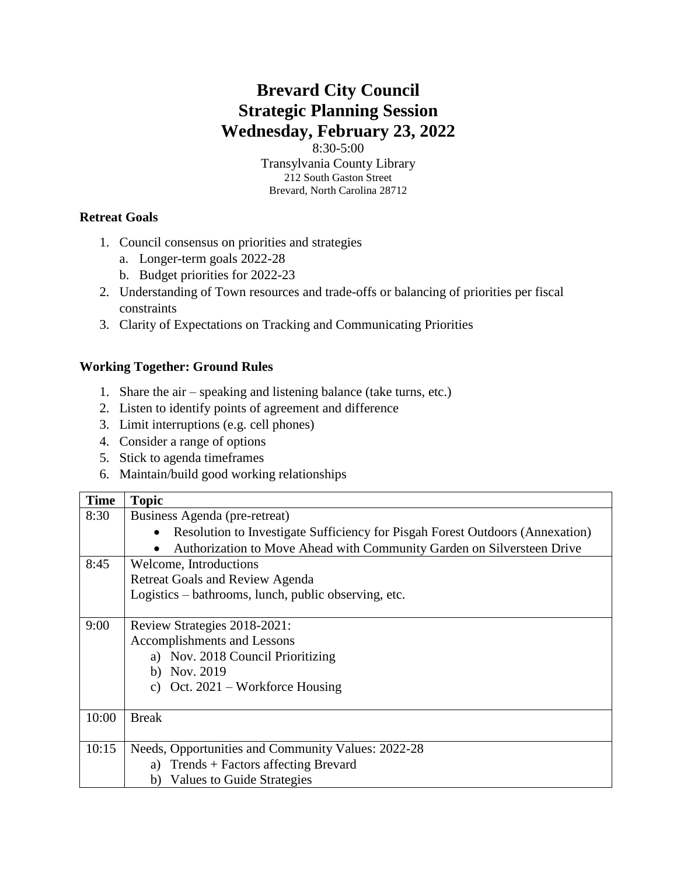## **Brevard City Council Strategic Planning Session Wednesday, February 23, 2022**

8:30-5:00

Transylvania County Library 212 South Gaston Street Brevard, North Carolina 28712

## **Retreat Goals**

- 1. Council consensus on priorities and strategies
	- a. Longer-term goals 2022-28
	- b. Budget priorities for 2022-23
- 2. Understanding of Town resources and trade-offs or balancing of priorities per fiscal constraints
- 3. Clarity of Expectations on Tracking and Communicating Priorities

## **Working Together: Ground Rules**

- 1. Share the air speaking and listening balance (take turns, etc.)
- 2. Listen to identify points of agreement and difference
- 3. Limit interruptions (e.g. cell phones)
- 4. Consider a range of options
- 5. Stick to agenda timeframes
- 6. Maintain/build good working relationships

| <b>Time</b> | <b>Topic</b>                                                                               |
|-------------|--------------------------------------------------------------------------------------------|
| 8:30        | Business Agenda (pre-retreat)                                                              |
|             | Resolution to Investigate Sufficiency for Pisgah Forest Outdoors (Annexation)<br>$\bullet$ |
|             | Authorization to Move Ahead with Community Garden on Silversteen Drive<br>$\bullet$        |
| 8:45        | Welcome, Introductions                                                                     |
|             | <b>Retreat Goals and Review Agenda</b>                                                     |
|             | Logistics – bathrooms, lunch, public observing, etc.                                       |
|             |                                                                                            |
| 9:00        | Review Strategies 2018-2021:                                                               |
|             | Accomplishments and Lessons                                                                |
|             | a) Nov. 2018 Council Prioritizing                                                          |
|             | b) Nov. $2019$                                                                             |
|             | c) Oct. $2021$ – Workforce Housing                                                         |
|             |                                                                                            |
| 10:00       | <b>Break</b>                                                                               |
|             |                                                                                            |
| 10:15       | Needs, Opportunities and Community Values: 2022-28                                         |
|             | a) Trends + Factors affecting Brevard                                                      |
|             | Values to Guide Strategies<br>b)                                                           |